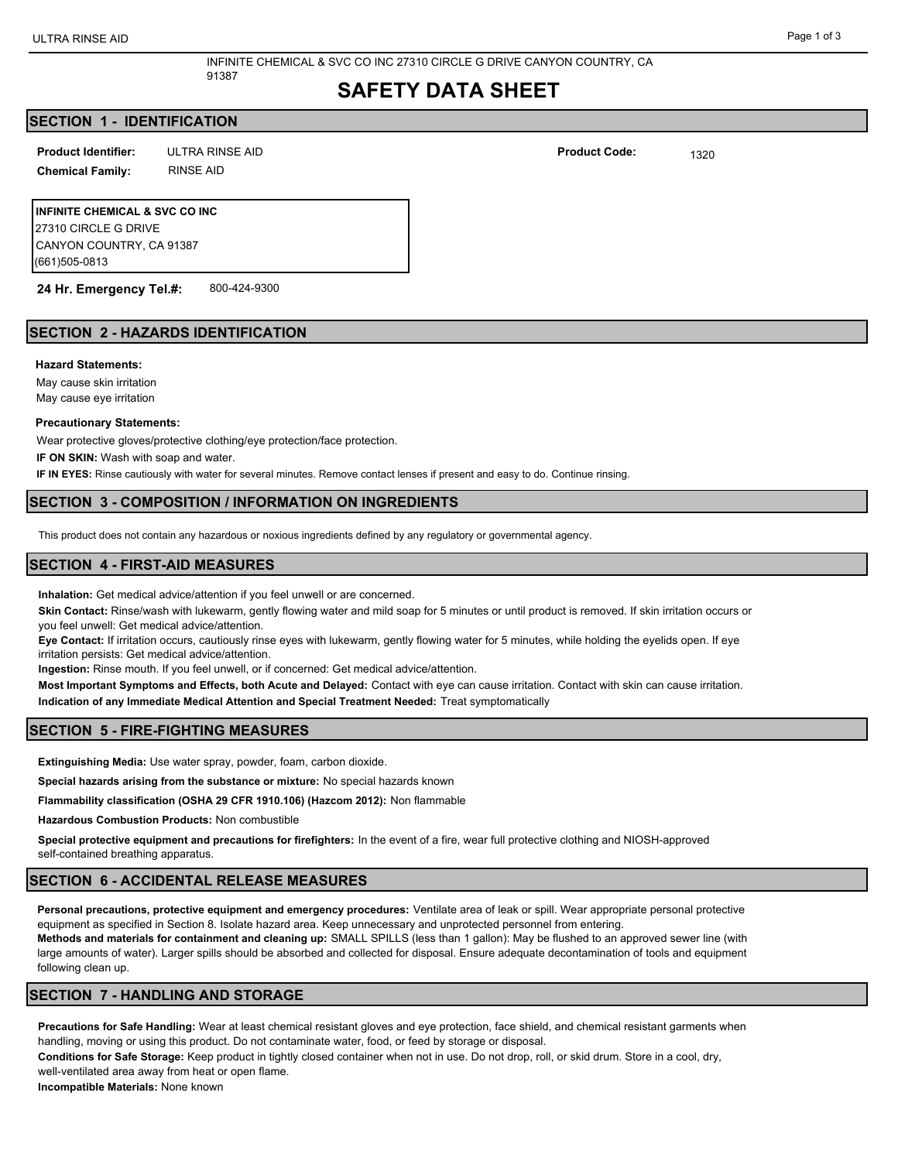# **SAFETY DATA SHEET**

## **SECTION 1 - IDENTIFICATION**

ULTRA RINSE AID 1320 **Product Identifier: Product Code:**

**Chemical Family:** RINSE AID

**INFINITE CHEMICAL & SVC CO INC** 27310 CIRCLE G DRIVE CANYON COUNTRY, CA 91387 (661)505-0813

**24 Hr. Emergency Tel.#:** 800-424-9300

## **SECTION 2 - HAZARDS IDENTIFICATION**

#### **Hazard Statements:**

May cause skin irritation

May cause eye irritation

#### **Precautionary Statements:**

Wear protective gloves/protective clothing/eye protection/face protection.

91387

**IF ON SKIN:** Wash with soap and water.

**IF IN EYES:** Rinse cautiously with water for several minutes. Remove contact lenses if present and easy to do. Continue rinsing.

## **SECTION 3 - COMPOSITION / INFORMATION ON INGREDIENTS**

This product does not contain any hazardous or noxious ingredients defined by any regulatory or governmental agency.

#### **SECTION 4 - FIRST-AID MEASURES**

**Inhalation:** Get medical advice/attention if you feel unwell or are concerned.

**Skin Contact:** Rinse/wash with lukewarm, gently flowing water and mild soap for 5 minutes or until product is removed. If skin irritation occurs or you feel unwell: Get medical advice/attention.

**Eye Contact:** If irritation occurs, cautiously rinse eyes with lukewarm, gently flowing water for 5 minutes, while holding the eyelids open. If eye irritation persists: Get medical advice/attention.

**Ingestion:** Rinse mouth. If you feel unwell, or if concerned: Get medical advice/attention.

**Most Important Symptoms and Effects, both Acute and Delayed:** Contact with eye can cause irritation. Contact with skin can cause irritation. **Indication of any Immediate Medical Attention and Special Treatment Needed:** Treat symptomatically

## **SECTION 5 - FIRE-FIGHTING MEASURES**

**Extinguishing Media:** Use water spray, powder, foam, carbon dioxide.

**Special hazards arising from the substance or mixture:** No special hazards known

**Flammability classification (OSHA 29 CFR 1910.106) (Hazcom 2012):** Non flammable

**Hazardous Combustion Products:** Non combustible

**Special protective equipment and precautions for firefighters:** In the event of a fire, wear full protective clothing and NIOSH-approved self-contained breathing apparatus.

#### **SECTION 6 - ACCIDENTAL RELEASE MEASURES**

**Personal precautions, protective equipment and emergency procedures:** Ventilate area of leak or spill. Wear appropriate personal protective equipment as specified in Section 8. Isolate hazard area. Keep unnecessary and unprotected personnel from entering.

**Methods and materials for containment and cleaning up:** SMALL SPILLS (less than 1 gallon): May be flushed to an approved sewer line (with large amounts of water). Larger spills should be absorbed and collected for disposal. Ensure adequate decontamination of tools and equipment following clean up.

## **SECTION 7 - HANDLING AND STORAGE**

**Precautions for Safe Handling:** Wear at least chemical resistant gloves and eye protection, face shield, and chemical resistant garments when handling, moving or using this product. Do not contaminate water, food, or feed by storage or disposal.

**Conditions for Safe Storage:** Keep product in tightly closed container when not in use. Do not drop, roll, or skid drum. Store in a cool, dry, well-ventilated area away from heat or open flame.

**Incompatible Materials:** None known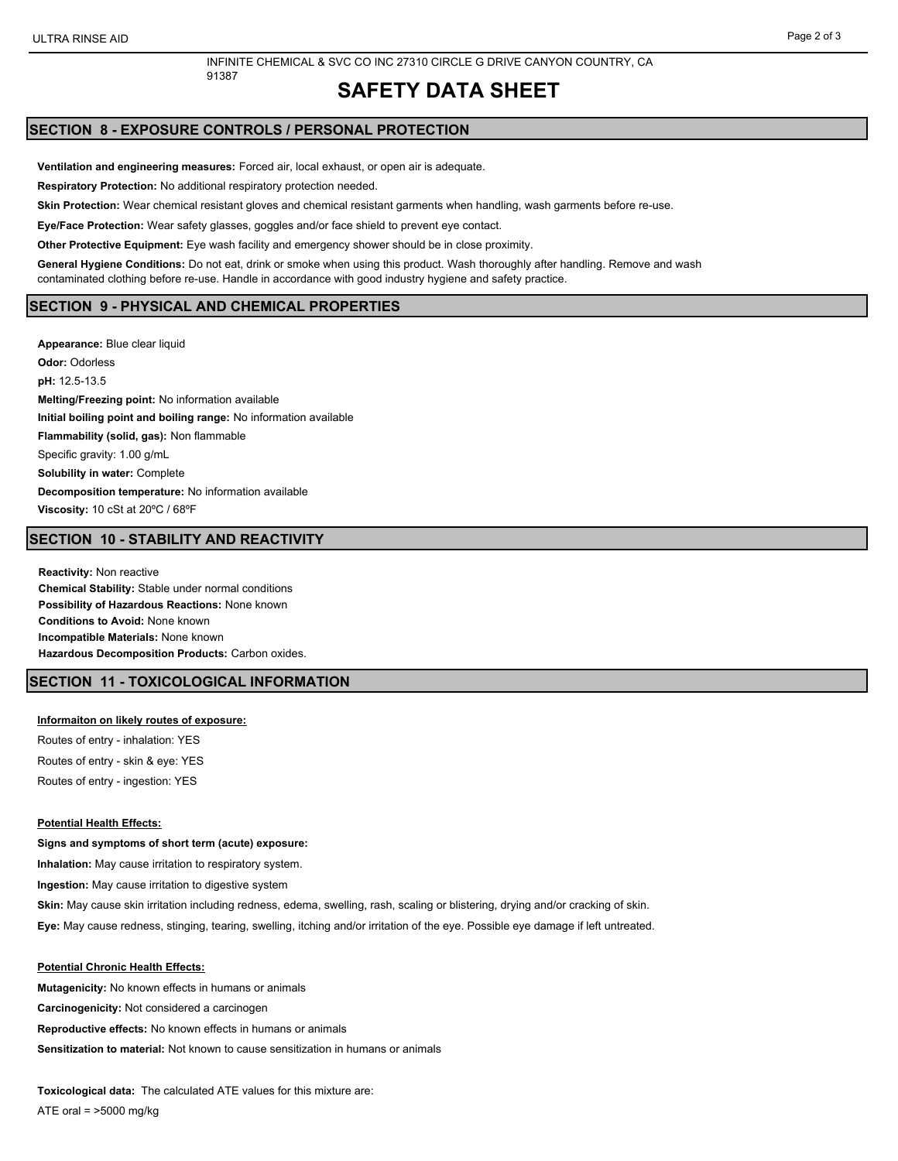## **SAFETY DATA SHEET**

## **SECTION 8 - EXPOSURE CONTROLS / PERSONAL PROTECTION**

**Ventilation and engineering measures:** Forced air, local exhaust, or open air is adequate.

**Respiratory Protection:** No additional respiratory protection needed.

91387

**Skin Protection:** Wear chemical resistant gloves and chemical resistant garments when handling, wash garments before re-use.

**Eye/Face Protection:** Wear safety glasses, goggles and/or face shield to prevent eye contact.

**Other Protective Equipment:** Eye wash facility and emergency shower should be in close proximity.

**General Hygiene Conditions:** Do not eat, drink or smoke when using this product. Wash thoroughly after handling. Remove and wash contaminated clothing before re-use. Handle in accordance with good industry hygiene and safety practice.

#### **SECTION 9 - PHYSICAL AND CHEMICAL PROPERTIES**

**Appearance:** Blue clear liquid **Odor:** Odorless **pH:** 12.5-13.5 **Melting/Freezing point:** No information available **Initial boiling point and boiling range:** No information available **Flammability (solid, gas):** Non flammable Specific gravity: 1.00 g/mL **Solubility in water:** Complete **Decomposition temperature:** No information available **Viscosity:** 10 cSt at 20ºC / 68ºF

## **SECTION 10 - STABILITY AND REACTIVITY**

**Reactivity:** Non reactive **Chemical Stability:** Stable under normal conditions **Possibility of Hazardous Reactions:** None known **Conditions to Avoid:** None known **Incompatible Materials:** None known **Hazardous Decomposition Products:** Carbon oxides.

## **SECTION 11 - TOXICOLOGICAL INFORMATION**

#### **Informaiton on likely routes of exposure:**

Routes of entry - inhalation: YES Routes of entry - skin & eye: YES Routes of entry - ingestion: YES

#### **Potential Health Effects:**

**Signs and symptoms of short term (acute) exposure: Inhalation:** May cause irritation to respiratory system. **Ingestion:** May cause irritation to digestive system **Skin:** May cause skin irritation including redness, edema, swelling, rash, scaling or blistering, drying and/or cracking of skin. **Eye:** May cause redness, stinging, tearing, swelling, itching and/or irritation of the eye. Possible eye damage if left untreated.

#### **Potential Chronic Health Effects:**

**Mutagenicity:** No known effects in humans or animals **Carcinogenicity:** Not considered a carcinogen **Reproductive effects:** No known effects in humans or animals **Sensitization to material:** Not known to cause sensitization in humans or animals

**Toxicological data:** The calculated ATE values for this mixture are: ATE oral =  $>5000$  mg/kg